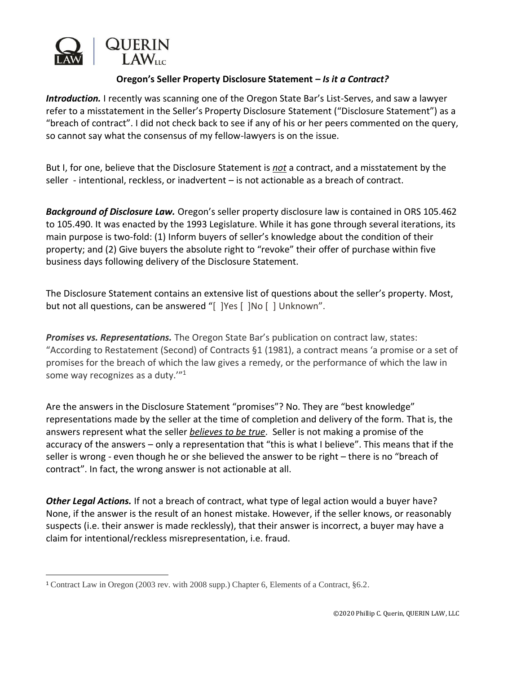

## **Oregon's Seller Property Disclosure Statement –** *Is it a Contract?*

*Introduction.* I recently was scanning one of the Oregon State Bar's List-Serves, and saw a lawyer refer to a misstatement in the Seller's Property Disclosure Statement ("Disclosure Statement") as a "breach of contract". I did not check back to see if any of his or her peers commented on the query, so cannot say what the consensus of my fellow-lawyers is on the issue.

But I, for one, believe that the Disclosure Statement is *not* a contract, and a misstatement by the seller - intentional, reckless, or inadvertent – is not actionable as a breach of contract.

*Background of Disclosure Law.* Oregon's seller property disclosure law is contained in ORS 105.462 to 105.490. It was enacted by the 1993 Legislature. While it has gone through several iterations, its main purpose is two-fold: (1) Inform buyers of seller's knowledge about the condition of their property; and (2) Give buyers the absolute right to "revoke" their offer of purchase within five business days following delivery of the Disclosure Statement.

The Disclosure Statement contains an extensive list of questions about the seller's property. Most, but not all questions, can be answered "[ ]Yes [ ]No [ ] Unknown".

*Promises vs. Representations.* The Oregon State Bar's publication on contract law, states: "According to Restatement (Second) of Contracts §1 (1981), a contract means 'a promise or a set of promises for the breach of which the law gives a remedy, or the performance of which the law in some way recognizes as a duty.'"<sup>1</sup>

Are the answers in the Disclosure Statement "promises"? No. They are "best knowledge" representations made by the seller at the time of completion and delivery of the form. That is, the answers represent what the seller *believes to be true*. Seller is not making a promise of the accuracy of the answers – only a representation that "this is what I believe". This means that if the seller is wrong - even though he or she believed the answer to be right – there is no "breach of contract". In fact, the wrong answer is not actionable at all.

*Other Legal Actions.* If not a breach of contract, what type of legal action would a buyer have? None, if the answer is the result of an honest mistake. However, if the seller knows, or reasonably suspects (i.e. their answer is made recklessly), that their answer is incorrect, a buyer may have a claim for intentional/reckless misrepresentation, i.e. fraud.

<sup>1</sup> Contract Law in Oregon (2003 rev. with 2008 supp.) Chapter 6, Elements of a Contract, §6.2.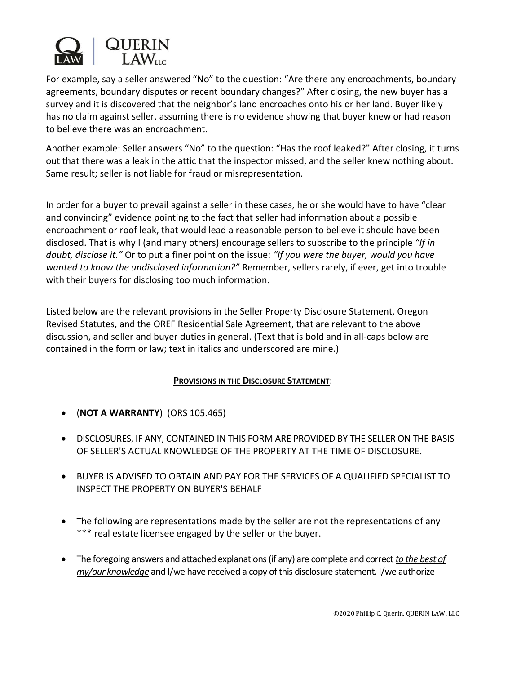

For example, say a seller answered "No" to the question: "Are there any encroachments, boundary agreements, boundary disputes or recent boundary changes?" After closing, the new buyer has a survey and it is discovered that the neighbor's land encroaches onto his or her land. Buyer likely has no claim against seller, assuming there is no evidence showing that buyer knew or had reason to believe there was an encroachment.

Another example: Seller answers "No" to the question: "Has the roof leaked?" After closing, it turns out that there was a leak in the attic that the inspector missed, and the seller knew nothing about. Same result; seller is not liable for fraud or misrepresentation.

In order for a buyer to prevail against a seller in these cases, he or she would have to have "clear and convincing" evidence pointing to the fact that seller had information about a possible encroachment or roof leak, that would lead a reasonable person to believe it should have been disclosed. That is why I (and many others) encourage sellers to subscribe to the principle *"If in doubt, disclose it."* Or to put a finer point on the issue: *"If you were the buyer, would you have wanted to know the undisclosed information?"* Remember, sellers rarely, if ever, get into trouble with their buyers for disclosing too much information.

Listed below are the relevant provisions in the Seller Property Disclosure Statement, Oregon Revised Statutes, and the OREF Residential Sale Agreement, that are relevant to the above discussion, and seller and buyer duties in general. (Text that is bold and in all-caps below are contained in the form or law; text in italics and underscored are mine.)

## **PROVISIONS IN THE DISCLOSURE STATEMENT**:

- (**NOT A WARRANTY**) (ORS 105.465)
- DISCLOSURES, IF ANY, CONTAINED IN THIS FORM ARE PROVIDED BY THE SELLER ON THE BASIS OF SELLER'S ACTUAL KNOWLEDGE OF THE PROPERTY AT THE TIME OF DISCLOSURE.
- BUYER IS ADVISED TO OBTAIN AND PAY FOR THE SERVICES OF A QUALIFIED SPECIALIST TO INSPECT THE PROPERTY ON BUYER'S BEHALF
- The following are representations made by the seller are not the representations of any \*\*\* real estate licensee engaged by the seller or the buyer.
- The foregoing answers and attached explanations (if any) are complete and correct *to the best of my/our knowledge* and I/we have received a copy of this disclosure statement. I/we authorize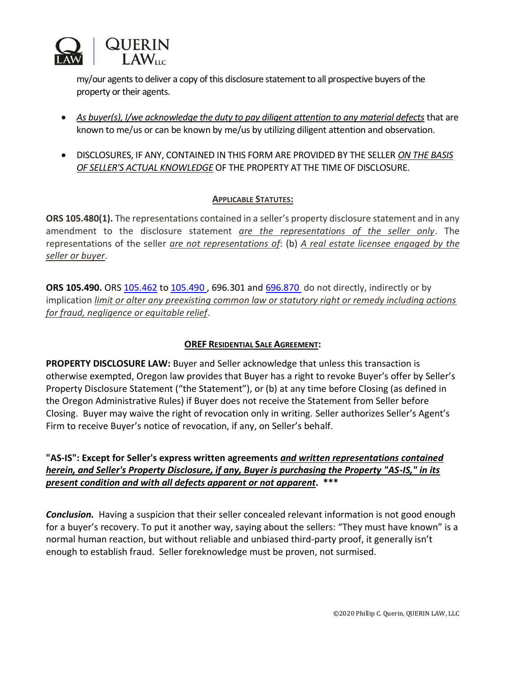

my/our agents to deliver a copy of this disclosure statement to all prospective buyers of the property or their agents.

- *As buyer(s), I/we acknowledge the duty to pay diligent attention to any material defects* that are known to me/us or can be known by me/us by utilizing diligent attention and observation.
- DISCLOSURES, IF ANY, CONTAINED IN THIS FORM ARE PROVIDED BY THE SELLER *ON THE BASIS OF SELLER'S ACTUAL KNOWLEDGE* OF THE PROPERTY AT THE TIME OF DISCLOSURE.

## **APPLICABLE STATUTES:**

**ORS 105.480(1).** The representations contained in a seller's property disclosure statement and in any amendment to the disclosure statement *are the representations of the seller only*. The representations of the seller *are not representations of*: (b) *A real estate licensee engaged by the seller or buyer*.

**ORS 105.490.** ORS [105.462](https://www.oregonlaws.org/ors/105.462) to [105.490](https://www.oregonlaws.org/ors/105.490) , 696.301 and [696.870](https://www.oregonlaws.org/ors/696.870) do not directly, indirectly or by implication *limit or alter any preexisting common law or statutory right or remedy including actions for fraud, negligence or equitable relief*.

## **OREF RESIDENTIAL SALE AGREEMENT:**

**PROPERTY DISCLOSURE LAW:** Buyer and Seller acknowledge that unless this transaction is otherwise exempted, Oregon law provides that Buyer has a right to revoke Buyer's offer by Seller's Property Disclosure Statement ("the Statement"), or (b) at any time before Closing (as defined in the Oregon Administrative Rules) if Buyer does not receive the Statement from Seller before Closing. Buyer may waive the right of revocation only in writing. Seller authorizes Seller's Agent's Firm to receive Buyer's notice of revocation, if any, on Seller's behalf.

**"AS-IS": Except for Seller's express written agreements** *and written representations contained herein, and Seller's Property Disclosure, if any, Buyer is purchasing the Property "AS-IS," in its present condition and with all defects apparent or not apparent***. \*\*\***

*Conclusion.* Having a suspicion that their seller concealed relevant information is not good enough for a buyer's recovery. To put it another way, saying about the sellers: "They must have known" is a normal human reaction, but without reliable and unbiased third-party proof, it generally isn't enough to establish fraud. Seller foreknowledge must be proven, not surmised.